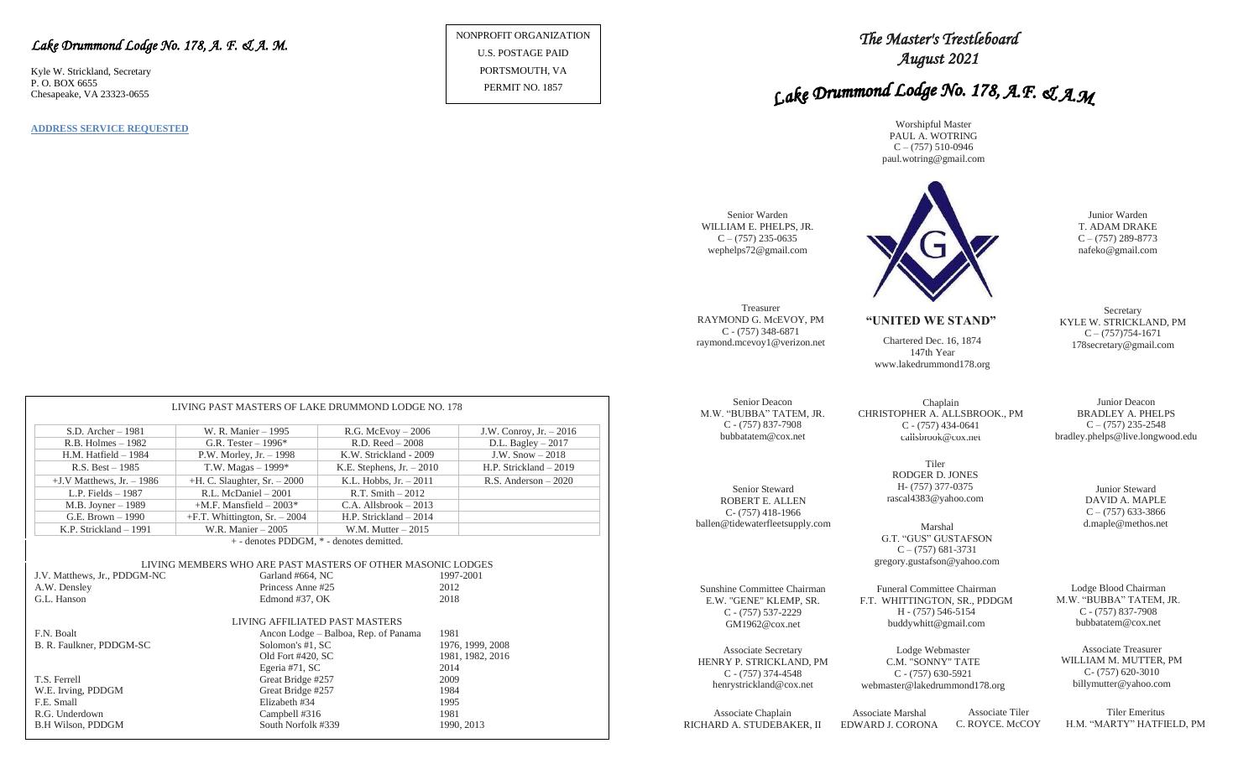#### *Lake Drummond Lodge No. 178, A. F. & A. M.*

Kyle W. Strickland, Secretary P. O. BOX 6655 Chesapeake, VA 23323-0655

**ADDRESS SERVICE REQUESTED**

NONPROFIT ORGANIZATION U.S. POSTAGE PAID PORTSMOUTH, VA PERMIT NO. 1857

## *The Master's Trestleboard August 2021*

# Lake Drummond Lodge No. 178, A.F. & A.M

Worshipful Master PAUL A. WOTRING  $C - (757)$  510-0946 paul.wotring@gmail.com



KYLE W. STRICKLAND, PM

bradley.phelps@live.longwood.edu

WILLIAM M. MUTTER, PM

Associate Chaplain RICHARD A. STUDEBAKER, II

EDWARD J. CORONA C. ROYCE. McCOY H.M. "MARTY" HATFIELD, PM

|                                                             | $S.D.$ Archer $-1981$                    | W. R. Manier - 1995                                                                                                   | $R.G.$ McEvoy $-2006$                | J.W. Conroy, Jr. - 2016 |  |  |  |  |  |  |  |
|-------------------------------------------------------------|------------------------------------------|-----------------------------------------------------------------------------------------------------------------------|--------------------------------------|-------------------------|--|--|--|--|--|--|--|
|                                                             | $R.B.$ Holmes $-1982$                    | G.R. Tester $-1996*$                                                                                                  | $R.D. Reed - 2008$                   | D.L. Bagley $-2017$     |  |  |  |  |  |  |  |
|                                                             | $H.M.$ Hatfield $-1984$                  | P.W. Morley, Jr. $-1998$                                                                                              | K.W. Strickland - 2009               | J.W. $Show-2018$        |  |  |  |  |  |  |  |
|                                                             | $R.S. Best - 1985$                       | T.W. Magas $-1999*$<br>K.E. Stephens, $Jr. - 2010$                                                                    |                                      | H.P. Strickland - 2019  |  |  |  |  |  |  |  |
|                                                             | $+J.V$ Matthews, Jr. $-1986$             | $+H$ . C. Slaughter, Sr. $-2000$                                                                                      | K.L. Hobbs, $Jr. - 2011$             | $R.S.$ Anderson $-2020$ |  |  |  |  |  |  |  |
|                                                             | L.P. Fields $-1987$                      | R.L. McDaniel - 2001                                                                                                  | $R.T. Smith - 2012$                  |                         |  |  |  |  |  |  |  |
|                                                             | $M.B.$ Joyner $-1989$                    | $+M.F.$ Mansfield $-2003*$<br>$C.A.$ Allsbrook $-2013$<br>$+F.T.$ Whittington, Sr. $-2004$<br>H.P. Strickland $-2014$ |                                      |                         |  |  |  |  |  |  |  |
|                                                             | G.E. Brown $-1990$                       |                                                                                                                       |                                      |                         |  |  |  |  |  |  |  |
|                                                             | K.P. Strickland - 1991                   | W.R. Manier $-2005$<br>W.M. Mutter $-2015$                                                                            |                                      |                         |  |  |  |  |  |  |  |
|                                                             | + - denotes PDDGM, * - denotes demitted. |                                                                                                                       |                                      |                         |  |  |  |  |  |  |  |
|                                                             |                                          |                                                                                                                       |                                      |                         |  |  |  |  |  |  |  |
| LIVING MEMBERS WHO ARE PAST MASTERS OF OTHER MASONIC LODGES |                                          |                                                                                                                       |                                      |                         |  |  |  |  |  |  |  |
|                                                             | J.V. Matthews, Jr., PDDGM-NC             | Garland #664, NC                                                                                                      |                                      | 1997-2001               |  |  |  |  |  |  |  |
|                                                             | A.W. Densley                             | Princess Anne#25                                                                                                      |                                      | 2012                    |  |  |  |  |  |  |  |
|                                                             | G.L. Hanson                              | Edmond #37, OK                                                                                                        | 2018                                 |                         |  |  |  |  |  |  |  |
|                                                             |                                          |                                                                                                                       |                                      |                         |  |  |  |  |  |  |  |
|                                                             |                                          |                                                                                                                       | LIVING AFFILIATED PAST MASTERS       |                         |  |  |  |  |  |  |  |
|                                                             | F.N. Boalt                               |                                                                                                                       | Ancon Lodge – Balboa, Rep. of Panama | 1981                    |  |  |  |  |  |  |  |
|                                                             | B. R. Faulkner, PDDGM-SC                 | Solomon's #1, SC                                                                                                      |                                      | 1976, 1999, 2008        |  |  |  |  |  |  |  |
|                                                             |                                          | Old Fort #420, SC                                                                                                     |                                      | 1981, 1982, 2016        |  |  |  |  |  |  |  |
|                                                             |                                          | Egeria #71, SC                                                                                                        | 2014                                 |                         |  |  |  |  |  |  |  |
|                                                             | T.S. Ferrell                             | Great Bridge #257                                                                                                     |                                      | 2009                    |  |  |  |  |  |  |  |
|                                                             | W.E. Irving, PDDGM                       | Great Bridge #257                                                                                                     |                                      | 1984                    |  |  |  |  |  |  |  |
|                                                             | F.E. Small                               | Elizabeth #34                                                                                                         | 1995                                 |                         |  |  |  |  |  |  |  |
|                                                             | R.G. Underdown                           | Campbell #316                                                                                                         | 1981                                 |                         |  |  |  |  |  |  |  |
|                                                             | <b>B.H Wilson, PDDGM</b>                 | South Norfolk #339                                                                                                    |                                      | 1990, 2013              |  |  |  |  |  |  |  |

LIVING PAST MASTERS OF LAKE DRUMMOND LODGE NO. 178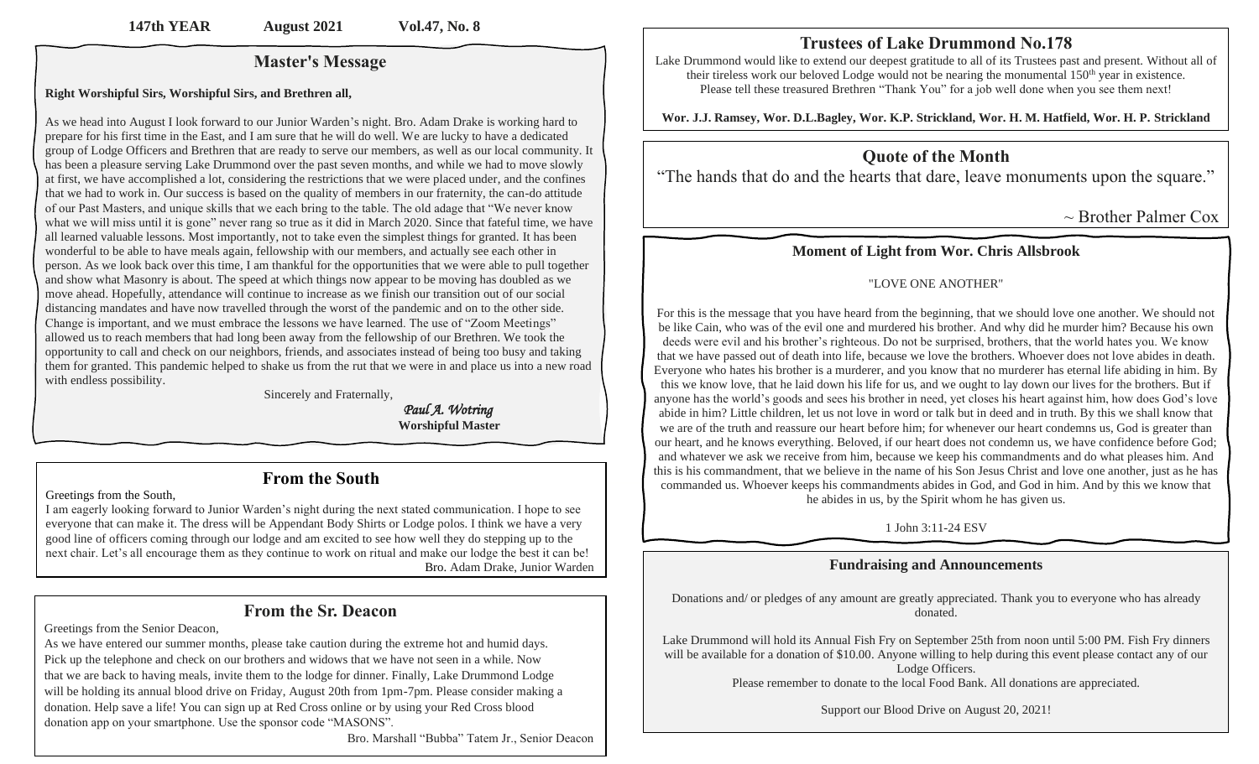## **Master's Message**

#### **Right Worshipful Sirs, Worshipful Sirs, and Brethren all,**

As we head into August I look forward to our Junior Warden's night. Bro. Adam Drake is working hard to prepare for his first time in the East, and I am sure that he will do well. We are lucky to have a dedicated group of Lodge Officers and Brethren that are ready to serve our members, as well as our local community. It has been a pleasure serving Lake Drummond over the past seven months, and while we had to move slowly at first, we have accomplished a lot, considering the restrictions that we were placed under, and the confines that we had to work in. Our success is based on the quality of members in our fraternity, the can-do attitude of our Past Masters, and unique skills that we each bring to the table. The old adage that "We never know what we will miss until it is gone" never rang so true as it did in March 2020. Since that fateful time, we have all learned valuable lessons. Most importantly, not to take even the simplest things for granted. It has been wonderful to be able to have meals again, fellowship with our members, and actually see each other in person. As we look back over this time, I am thankful for the opportunities that we were able to pull together and show what Masonry is about. The speed at which things now appear to be moving has doubled as we move ahead. Hopefully, attendance will continue to increase as we finish our transition out of our social distancing mandates and have now travelled through the worst of the pandemic and on to the other side. Change is important, and we must embrace the lessons we have learned. The use of "Zoom Meetings" allowed us to reach members that had long been away from the fellowship of our Brethren. We took the opportunity to call and check on our neighbors, friends, and associates instead of being too busy and taking them for granted. This pandemic helped to shake us from the rut that we were in and place us into a new road with endless possibility.

Sincerely and Fraternally,

 *Paul A. Wotring*  **Worshipful Master**

## **From the South**

Greetings from the South,

I am eagerly looking forward to Junior Warden's night during the next stated communication. I hope to see everyone that can make it. The dress will be Appendant Body Shirts or Lodge polos. I think we have a very good line of officers coming through our lodge and am excited to see how well they do stepping up to the next chair. Let's all encourage them as they continue to work on ritual and make our lodge the best it can be! Bro. Adam Drake, Junior Warden

## **From the Sr. Deacon**

Greetings from the Senior Deacon,

As we have entered our summer months, please take caution during the extreme hot and humid days. Pick up the telephone and check on our brothers and widows that we have not seen in a while. Now that we are back to having meals, invite them to the lodge for dinner. Finally, Lake Drummond Lodge will be holding its annual blood drive on Friday, August 20th from 1pm-7pm. Please consider making a donation. Help save a life! You can sign up at Red Cross online or by using your Red Cross blood donation app on your smartphone. Use the sponsor code "MASONS".

Bro. Marshall "Bubba" Tatem Jr., Senior Deacon

## **Trustees of Lake Drummond No.178**

Lake Drummond would like to extend our deepest gratitude to all of its Trustees past and present. Without all of their tireless work our beloved Lodge would not be nearing the monumental 150<sup>th</sup> year in existence. Please tell these treasured Brethren "Thank You" for a job well done when you see them next!

**Wor. J.J. Ramsey, Wor. D.L.Bagley, Wor. K.P. Strickland, Wor. H. M. Hatfield, Wor. H. P. Strickland**

## **Quote of the Month**

"The hands that do and the hearts that dare, leave monuments upon the square."

 $\sim$  Brother Palmer Cox

## **Moment of Light from Wor. Chris Allsbrook**

### "LOVE ONE ANOTHER"

For this is the message that you have heard from the beginning, that we should love one another. We should not be like Cain, who was of the evil one and murdered his brother. And why did he murder him? Because his own deeds were evil and his brother's righteous. Do not be surprised, brothers, that the world hates you. We know that we have passed out of death into life, because we love the brothers. Whoever does not love abides in death. Everyone who hates his brother is a murderer, and you know that no murderer has eternal life abiding in him. By this we know love, that he laid down his life for us, and we ought to lay down our lives for the brothers. But if anyone has the world's goods and sees his brother in need, yet closes his heart against him, how does God's love abide in him? Little children, let us not love in word or talk but in deed and in truth. By this we shall know that we are of the truth and reassure our heart before him; for whenever our heart condemns us, God is greater than our heart, and he knows everything. Beloved, if our heart does not condemn us, we have confidence before God; and whatever we ask we receive from him, because we keep his commandments and do what pleases him. And this is his commandment, that we believe in the name of his Son Jesus Christ and love one another, just as he has commanded us. Whoever keeps his commandments abides in God, and God in him. And by this we know that he abides in us, by the Spirit whom he has given us.

1 John 3:11-24 ESV

## **Fundraising and Announcements**

Donations and/ or pledges of any amount are greatly appreciated. Thank you to everyone who has already donated.

Lake Drummond will hold its Annual Fish Fry on September 25th from noon until 5:00 PM. Fish Fry dinners will be available for a donation of \$10.00. Anyone willing to help during this event please contact any of our Lodge Officers. Please remember to donate to the local Food Bank. All donations are appreciated.

Support our Blood Drive on August 20, 2021!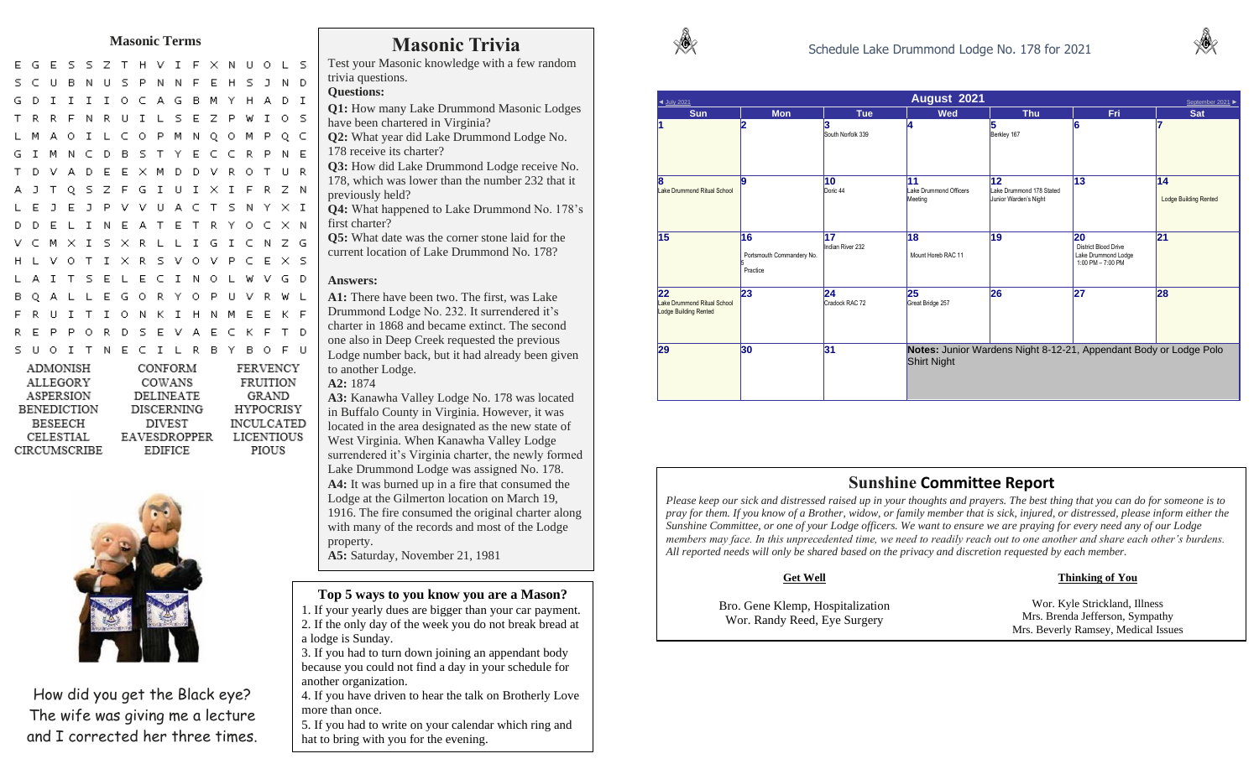## **Masonic Terms Masonic Trivia**

S.  $\mathsf{S}$ Z T H V I F X N U O  $L-S$ U B N U S P N N F E H S J N D G D I I I I O C A G B M Y H A D I T R R F N R U I L S E Z P W I O S O I L C O P M N O O M P O C G I M N C D B S T Y E C C R P N E A D E E X M D D V R O T U R A J T Q S Z F G I U I X I F R Z N J E J P V V U A C T S N Y X I E L I N E A T E T R Y O C X N M X I S X R L L I G I C N Z G VOTIXRSVOVPCEXS T S E L E C I N O L W V G D **PUVRWL** L L E G O R Y O I T I O N K I H N M E K F  $E$ PORD SEVAECKFTD S U O I T N E C I L R B Y B O F U

| CONFORM           | FERVENCY          |
|-------------------|-------------------|
| COWANS            | FRUITION          |
| DELINEATE         | GRAND             |
| <b>DISCERNING</b> | HYPOCRISY         |
| DIVEST            | <b>INCULCATED</b> |
| EAVESDROPPER      | LICENTIOUS        |
| <b>EDIFICE</b>    | PIOUS             |
|                   |                   |



How did you get the Black eye? The wife was giving me a lecture and I corrected her three times.

Test your Masonic knowledge with a few random trivia questions.

#### **Questions:**

- **Q1:** How many Lake Drummond Masonic Lodges have been chartered in Virginia?
- **Q2:** What year did Lake Drummond Lodge No. 178 receive its charter?
- **Q3:** How did Lake Drummond Lodge receive No. 178, which was lower than the number 232 that it previously held?
- **Q4:** What happened to Lake Drummond No. 178's first charter?
- **Q5:** What date was the corner stone laid for the current location of Lake Drummond No. 178?

#### **Answers:**

**A1:** There have been two. The first, was Lake Drummond Lodge No. 232. It surrendered it's charter in 1868 and became extinct. The second one also in Deep Creek requested the previous Lodge number back, but it had already been given to another Lodge. **A2:** 1874

**A3:** Kanawha Valley Lodge No. 178 was located in Buffalo County in Virginia. However, it was

located in the area designated as the new state of West Virginia. When Kanawha Valley Lodge surrendered it's Virginia charter, the newly formed Lake Drummond Lodge was assigned No. 178. **A4:** It was burned up in a fire that consumed the Lodge at the Gilmerton location on March 19, 1916. The fire consumed the original charter along with many of the records and most of the Lodge property.

**A5:** Saturday, November 21, 1981

#### **Top 5 ways to you know you are a Mason?**

1. If your yearly dues are bigger than your car payment. 2. If the only day of the week you do not break bread at a lodge is Sunday.

3. If you had to turn down joining an appendant body because you could not find a day in your schedule for another organization.

4. If you have driven to hear the talk on Brotherly Love more than once.

5. If you had to write on your calendar which ring and hat to bring with you for the evening.





| August 2021<br>◀ July 2021<br>September 2021 ▶             |                                             |                        |                                                                                         |                                                         |                                                                               |                                    |  |  |  |
|------------------------------------------------------------|---------------------------------------------|------------------------|-----------------------------------------------------------------------------------------|---------------------------------------------------------|-------------------------------------------------------------------------------|------------------------------------|--|--|--|
| <b>Sun</b>                                                 | <b>Mon</b>                                  | <b>Tue</b>             | <b>Wed</b>                                                                              | <b>Thu</b>                                              | Fri                                                                           | <b>Sat</b>                         |  |  |  |
| l1                                                         |                                             | South Norfolk 339      | 14                                                                                      | 15<br>Berkley 167                                       | 6                                                                             |                                    |  |  |  |
| 18<br>Lake Drummond Ritual School                          | l9                                          | 10<br>Doric 44         | 11<br>Lake Drummond Officers<br>Meeting                                                 | 12<br>Lake Drummond 178 Stated<br>Junior Warden's Night | 13                                                                            | 14<br><b>Lodge Building Rented</b> |  |  |  |
| 15                                                         | 16<br>Portsmouth Commandery No.<br>Practice | 17<br>Indian River 232 | 18<br>Mount Horeb RAC 11                                                                | 19                                                      | 20<br><b>District Blood Drive</b><br>Lake Drummond Lodge<br>1:00 PM - 7:00 PM | 21                                 |  |  |  |
| 22<br>Lake Drummond Ritual School<br>Lodge Building Rented | 23                                          | 24<br>Cradock RAC 72   | 25<br>Great Bridge 257                                                                  | 26                                                      | 27                                                                            | 28                                 |  |  |  |
| 29                                                         | 30                                          | 31                     | Notes: Junior Wardens Night 8-12-21, Appendant Body or Lodge Polo<br><b>Shirt Night</b> |                                                         |                                                                               |                                    |  |  |  |

#### **Sunshine Committee Report**

*Please keep our sick and distressed raised up in your thoughts and prayers. The best thing that you can do for someone is to pray for them. If you know of a Brother, widow, or family member that is sick, injured, or distressed, please inform either the Sunshine Committee, or one of your Lodge officers. We want to ensure we are praying for every need any of our Lodge members may face. In this unprecedented time, we need to readily reach out to one another and share each other's burdens. All reported needs will only be shared based on the privacy and discretion requested by each member.* 

#### **Get Well**

#### **Thinking of You**

Bro. Gene Klemp, Hospitalization Wor. Randy Reed, Eye Surgery Wor. Kyle Strickland, Illness Mrs. Brenda Jefferson, Sympathy Mrs. Beverly Ramsey, Medical Issues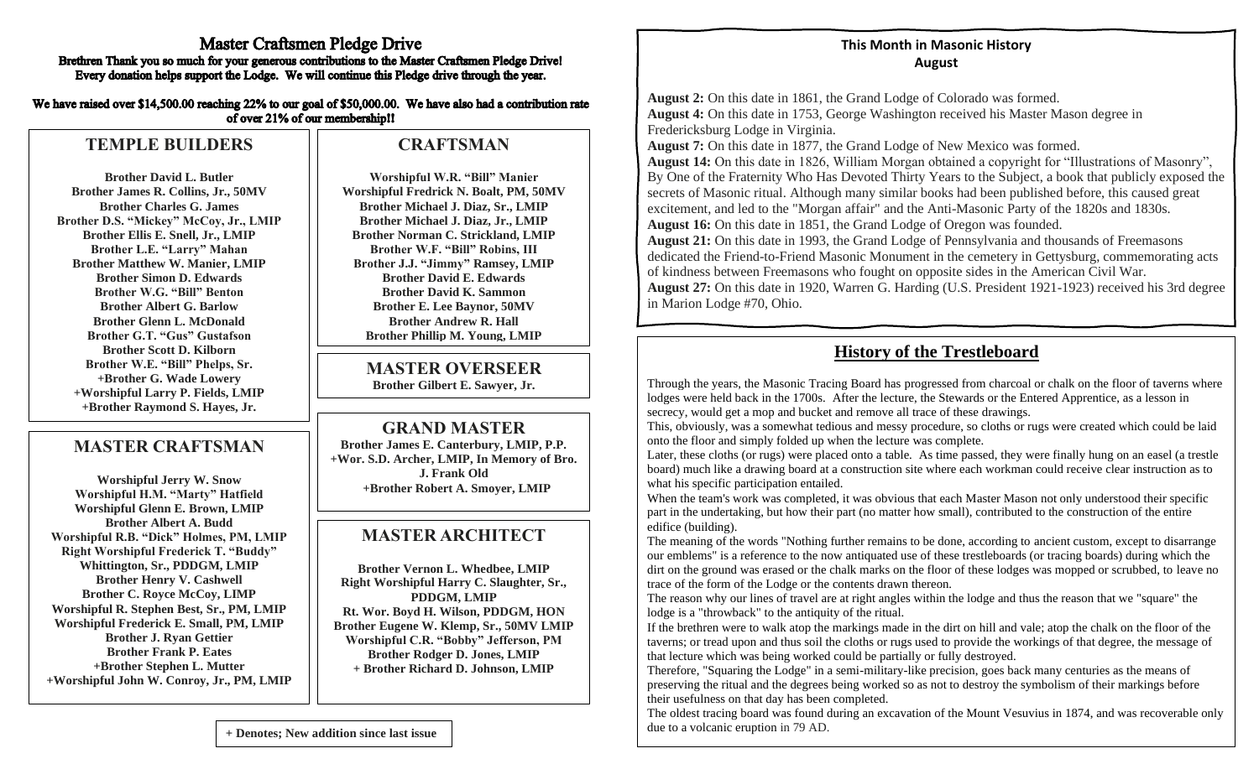#### **Master Craftsmen Pledge Drive** Brethren Thank you so much for your generous contributions to the Master Craftsmen Pledge Drive! Every donation helps support the Lodge. We will continue this Pledge drive through the year.

We have raised over \$14,500.00 reaching 22% to our goal of \$50,000.00. We have also had a contribution rate of over 21% of our membership!!

## **TEMPLE BUILDERS**

**Brother David L. Butler Brother James R. Collins, Jr., 50MV Brother Charles G. James Brother D.S. "Mickey" McCoy, Jr., LMIP Brother Ellis E. Snell, Jr., LMIP Brother L.E. "Larry" Mahan Brother Matthew W. Manier, LMIP Brother Simon D. Edwards Brother W.G. "Bill" Benton Brother Albert G. Barlow Brother Glenn L. McDonald Brother G.T. "Gus" Gustafson Brother Scott D. Kilborn Brother W.E. "Bill" Phelps, Sr. +Brother G. Wade Lowery +Worshipful Larry P. Fields, LMIP +Brother Raymond S. Hayes, Jr.**

## **MASTER CRAFTSMAN**

**Worshipful Jerry W. Snow Worshipful H.M. "Marty" Hatfield Worshipful Glenn E. Brown, LMIP Brother Albert A. Budd Worshipful R.B. "Dick" Holmes, PM, LMIP Right Worshipful Frederick T. "Buddy" Whittington, Sr., PDDGM, LMIP Brother Henry V. Cashwell Brother C. Royce McCoy, LIMP Worshipful R. Stephen Best, Sr., PM, LMIP Worshipful Frederick E. Small, PM, LMIP Brother J. Ryan Gettier Brother Frank P. Eates +Brother Stephen L. Mutter +Worshipful John W. Conroy, Jr., PM, LMIP**

### **CRAFTSMAN**

**Worshipful W.R. "Bill" Manier Worshipful Fredrick N. Boalt, PM, 50MV Brother Michael J. Diaz, Sr., LMIP Brother Michael J. Diaz, Jr., LMIP Brother Norman C. Strickland, LMIP Brother W.F. "Bill" Robins, III Brother J.J. "Jimmy" Ramsey, LMIP Brother David E. Edwards Brother David K. Sammon Brother E. Lee Baynor, 50MV Brother Andrew R. Hall Brother Phillip M. Young, LMIP**

#### **MASTER OVERSEER Brother Gilbert E. Sawyer, Jr.**

### **GRAND MASTER**

**Brother James E. Canterbury, LMIP, P.P. +Wor. S.D. Archer, LMIP, In Memory of Bro. J. Frank Old +Brother Robert A. Smoyer, LMIP**

## **MASTER ARCHITECT**

**Brother Vernon L. Whedbee, LMIP Right Worshipful Harry C. Slaughter, Sr., PDDGM, LMIP Rt. Wor. Boyd H. Wilson, PDDGM, HON Brother Eugene W. Klemp, Sr., 50MV LMIP Worshipful C.R. "Bobby" Jefferson, PM Brother Rodger D. Jones, LMIP + Brother Richard D. Johnson, LMIP**

#### **This Month in Masonic History August**

**August 2:** On this date in 1861, the Grand Lodge of Colorado was formed. **August 4:** On this date in 1753, George Washington received his Master Mason degree in Fredericksburg Lodge in Virginia.

**August 7:** On this date in 1877, the Grand Lodge of New Mexico was formed.

**August 14:** On this date in 1826, William Morgan obtained a copyright for "Illustrations of Masonry", By One of the Fraternity Who Has Devoted Thirty Years to the Subject, a book that publicly exposed the secrets of Masonic ritual. Although many similar books had been published before, this caused great excitement, and led to the "Morgan affair" and the Anti-Masonic Party of the 1820s and 1830s. **August 16:** On this date in 1851, the Grand Lodge of Oregon was founded.

**August 21:** On this date in 1993, the Grand Lodge of Pennsylvania and thousands of Freemasons dedicated the Friend-to-Friend Masonic Monument in the cemetery in Gettysburg, commemorating acts of kindness between Freemasons who fought on opposite sides in the American Civil War.

**August 27:** On this date in 1920, Warren G. Harding (U.S. President 1921-1923) received his 3rd degree in Marion Lodge #70, Ohio.

## **History of the Trestleboard**

Through the years, the Masonic Tracing Board has progressed from charcoal or chalk on the floor of taverns where lodges were held back in the 1700s. After the lecture, the Stewards or the Entered Apprentice, as a lesson in secrecy, would get a mop and bucket and remove all trace of these drawings.

This, obviously, was a somewhat tedious and messy procedure, so cloths or rugs were created which could be laid onto the floor and simply folded up when the lecture was complete.

Later, these cloths (or rugs) were placed onto a table. As time passed, they were finally hung on an easel (a trestle board) much like a drawing board at a construction site where each workman could receive clear instruction as to what his specific participation entailed.

When the team's work was completed, it was obvious that each Master Mason not only understood their specific part in the undertaking, but how their part (no matter how small), contributed to the construction of the entire edifice (building).

The meaning of the words "Nothing further remains to be done, according to ancient custom, except to disarrange our emblems" is a reference to the now antiquated use of these trestleboards (or tracing boards) during which the dirt on the ground was erased or the chalk marks on the floor of these lodges was mopped or scrubbed, to leave no trace of the form of the Lodge or the contents drawn thereon.

The reason why our lines of travel are at right angles within the lodge and thus the reason that we "square" the lodge is a "throwback" to the antiquity of the ritual.

If the brethren were to walk atop the markings made in the dirt on hill and vale; atop the chalk on the floor of the taverns; or tread upon and thus soil the cloths or rugs used to provide the workings of that degree, the message of that lecture which was being worked could be partially or fully destroyed.

Therefore, "Squaring the Lodge" in a semi-military-like precision, goes back many centuries as the means of preserving the ritual and the degrees being worked so as not to destroy the symbolism of their markings before their usefulness on that day has been completed.

The oldest tracing board was found during an excavation of the Mount Vesuvius in 1874, and was recoverable only due to a volcanic eruption in 79 AD.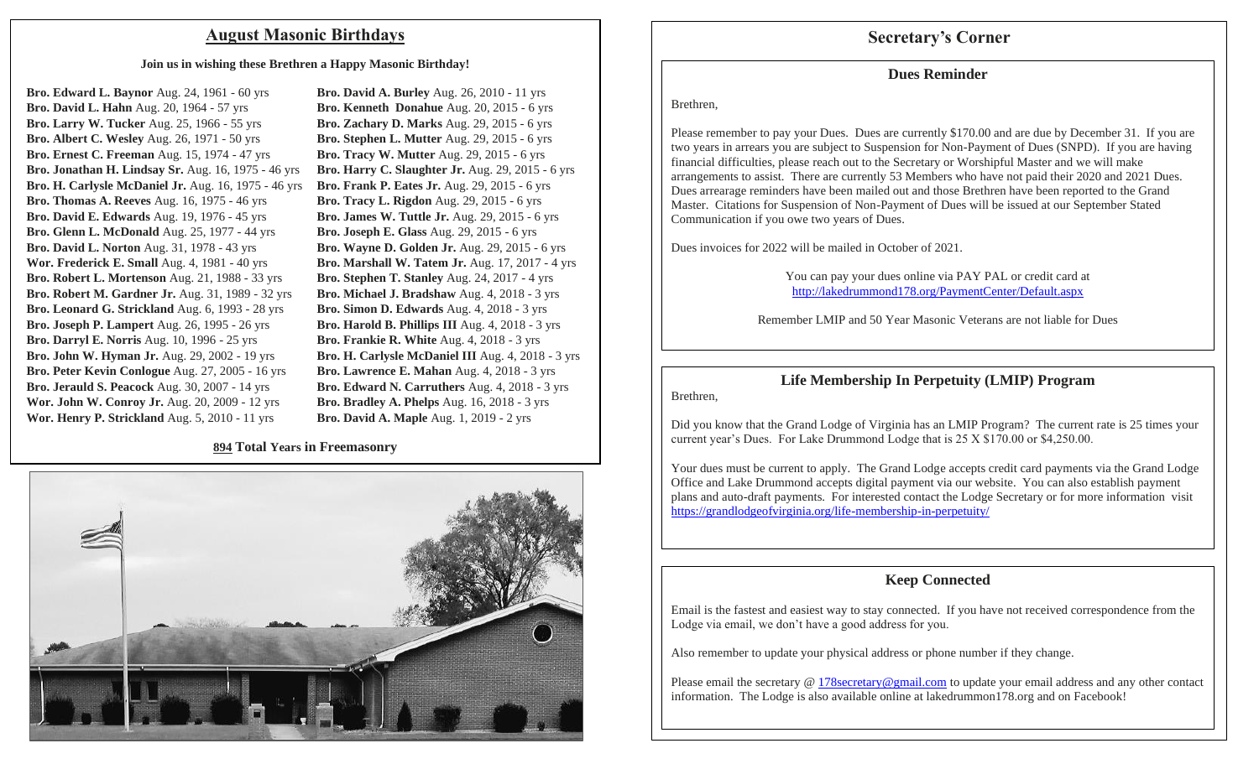### **August Masonic Birthdays Secretary's Corner**

#### **Join us in wishing these Brethren a Happy Masonic Birthday!**

**Bro. Edward L. Baynor** Aug. 24, 1961 - 60 yrs **Bro. David L. Hahn** Aug. 20, 1964 - 57 yrs **Bro. Larry W. Tucker** Aug. 25, 1966 - 55 yrs **Bro. Albert C. Wesley** Aug. 26, 1971 - 50 yrs **Bro. Ernest C. Freeman** Aug. 15, 1974 - 47 yrs **Bro. Jonathan H. Lindsay Sr.** Aug. 16, 1975 - 46 yrs **Bro. H. Carlysle McDaniel Jr.** Aug. 16, 1975 - 46 yrs **Bro. Thomas A. Reeves** Aug. 16, 1975 - 46 yrs **Bro. David E. Edwards** Aug. 19, 1976 - 45 yrs **Bro. Glenn L. McDonald** Aug. 25, 1977 - 44 yrs **Bro. David L. Norton** Aug. 31, 1978 - 43 yrs **Wor. Frederick E. Small** Aug. 4, 1981 - 40 yrs **Bro. Robert L. Mortenson** Aug. 21, 1988 - 33 yrs **Bro. Robert M. Gardner Jr.** Aug. 31, 1989 - 32 yrs **Bro. Leonard G. Strickland** Aug. 6, 1993 - 28 yrs **Bro. Joseph P. Lampert** Aug. 26, 1995 - 26 yrs **Bro. Darryl E. Norris** Aug. 10, 1996 - 25 yrs **Bro. John W. Hyman Jr.** Aug. 29, 2002 - 19 yrs **Bro. Peter Kevin Conlogue** Aug. 27, 2005 - 16 yrs **Bro. Jerauld S. Peacock** Aug. 30, 2007 - 14 yrs **Wor. John W. Conroy Jr.** Aug. 20, 2009 - 12 yrs **Wor. Henry P. Strickland** Aug. 5, 2010 - 11 yrs

**Bro. David A. Burley** Aug. 26, 2010 - 11 yrs **Bro. Kenneth Donahue** Aug. 20, 2015 - 6 yrs **Bro. Zachary D. Marks** Aug. 29, 2015 - 6 yrs **Bro. Stephen L. Mutter** Aug. 29, 2015 - 6 yrs **Bro. Tracy W. Mutter** Aug. 29, 2015 - 6 yrs **Bro. Harry C. Slaughter Jr.** Aug. 29, 2015 - 6 yrs **Bro. Frank P. Eates Jr.** Aug. 29, 2015 - 6 yrs **Bro. Tracy L. Rigdon** Aug. 29, 2015 - 6 yrs **Bro. James W. Tuttle Jr.** Aug. 29, 2015 - 6 yrs **Bro. Joseph E. Glass** Aug. 29, 2015 - 6 yrs **Bro. Wayne D. Golden Jr.** Aug. 29, 2015 - 6 yrs **Bro. Marshall W. Tatem Jr.** Aug. 17, 2017 - 4 yrs **Bro. Stephen T. Stanley** Aug. 24, 2017 - 4 yrs **Bro. Michael J. Bradshaw** Aug. 4, 2018 - 3 yrs **Bro. Simon D. Edwards** Aug. 4, 2018 - 3 yrs **Bro. Harold B. Phillips III** Aug. 4, 2018 - 3 yrs **Bro. Frankie R. White** Aug. 4, 2018 - 3 yrs **Bro. H. Carlysle McDaniel III** Aug. 4, 2018 - 3 yrs **Bro. Lawrence E. Mahan** Aug. 4, 2018 - 3 yrs **Bro. Edward N. Carruthers** Aug. 4, 2018 - 3 yrs **Bro. Bradley A. Phelps** Aug. 16, 2018 - 3 yrs **Bro. David A. Maple** Aug. 1, 2019 - 2 yrs

#### **894 Total Years in Freemasonry**



#### **Dues Reminder**

#### Brethren,

Please remember to pay your Dues. Dues are currently \$170.00 and are due by December 31. If you are two years in arrears you are subject to Suspension for Non-Payment of Dues (SNPD). If you are having financial difficulties, please reach out to the Secretary or Worshipful Master and we will make arrangements to assist. There are currently 53 Members who have not paid their 2020 and 2021 Dues. Dues arrearage reminders have been mailed out and those Brethren have been reported to the Grand Master. Citations for Suspension of Non-Payment of Dues will be issued at our September Stated Communication if you owe two years of Dues.

Dues invoices for 2022 will be mailed in October of 2021.

You can pay your dues online via PAY PAL or credit card at http://lakedrummond178.org/PaymentCenter/Default.aspx

Remember LMIP and 50 Year Masonic Veterans are not liable for Dues

#### **Life Membership In Perpetuity (LMIP) Program**

Brethren,

Did you know that the Grand Lodge of Virginia has an LMIP Program? The current rate is 25 times your current year's Dues. For Lake Drummond Lodge that is 25 X \$170.00 or \$4,250.00.

Your dues must be current to apply. The Grand Lodge accepts credit card payments via the Grand Lodge Office and Lake Drummond accepts digital payment via our website. You can also establish payment plans and auto-draft payments. For interested contact the Lodge Secretary or for more information visit https://grandlodgeofvirginia.org/life-membership-in-perpetuity/

#### **Keep Connected**

Email is the fastest and easiest way to stay connected. If you have not received correspondence from the Lodge via email, we don't have a good address for you.

Also remember to update your physical address or phone number if they change.

Please email the secretary @ 178secretary@gmail.com to update your email address and any other contact information. The Lodge is also available online at lakedrummon178.org and on Facebook!